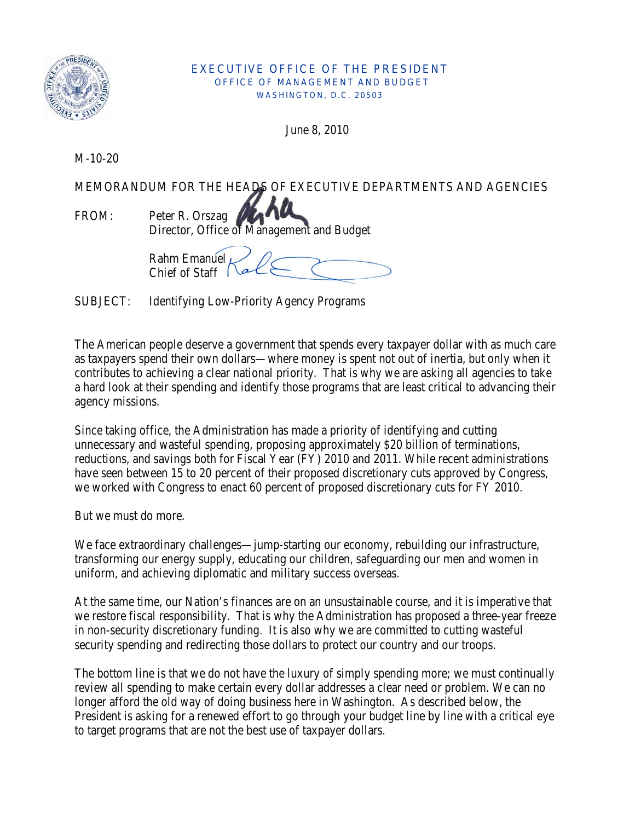

## EXECUTIVE OFFICE OF THE PRESIDENT OFFICE OF MANAGEMENT AND BUDGET WASHINGTON, D.C. 20503

June 8, 2010

M-10-20

MEMORANDUM FOR THE HEADS OF EXECUTIVE DEPARTMENTS AND AGENCIES

FROM: Peter R. Orszag Director, Office of Management and Budget

Rahm Emanuel Chief of Staff

SUBJECT: Identifying Low-Priority Agency Programs

The American people deserve a government that spends every taxpayer dollar with as much care as taxpayers spend their own dollars—where money is spent not out of inertia, but only when it contributes to achieving a clear national priority. That is why we are asking all agencies to take a hard look at their spending and identify those programs that are least critical to advancing their agency missions.

Since taking office, the Administration has made a priority of identifying and cutting unnecessary and wasteful spending, proposing approximately \$20 billion of terminations, reductions, and savings both for Fiscal Year (FY) 2010 and 2011. While recent administrations have seen between 15 to 20 percent of their proposed discretionary cuts approved by Congress, we worked with Congress to enact 60 percent of proposed discretionary cuts for FY 2010.

But we must do more.

We face extraordinary challenges—jump-starting our economy, rebuilding our infrastructure, transforming our energy supply, educating our children, safeguarding our men and women in uniform, and achieving diplomatic and military success overseas.

At the same time, our Nation's finances are on an unsustainable course, and it is imperative that we restore fiscal responsibility. That is why the Administration has proposed a three-year freeze in non-security discretionary funding. It is also why we are committed to cutting wasteful security spending and redirecting those dollars to protect our country and our troops.

The bottom line is that we do not have the luxury of simply spending more; we must continually review all spending to make certain every dollar addresses a clear need or problem. We can no longer afford the old way of doing business here in Washington. As described below, the President is asking for a renewed effort to go through your budget line by line with a critical eye to target programs that are not the best use of taxpayer dollars.